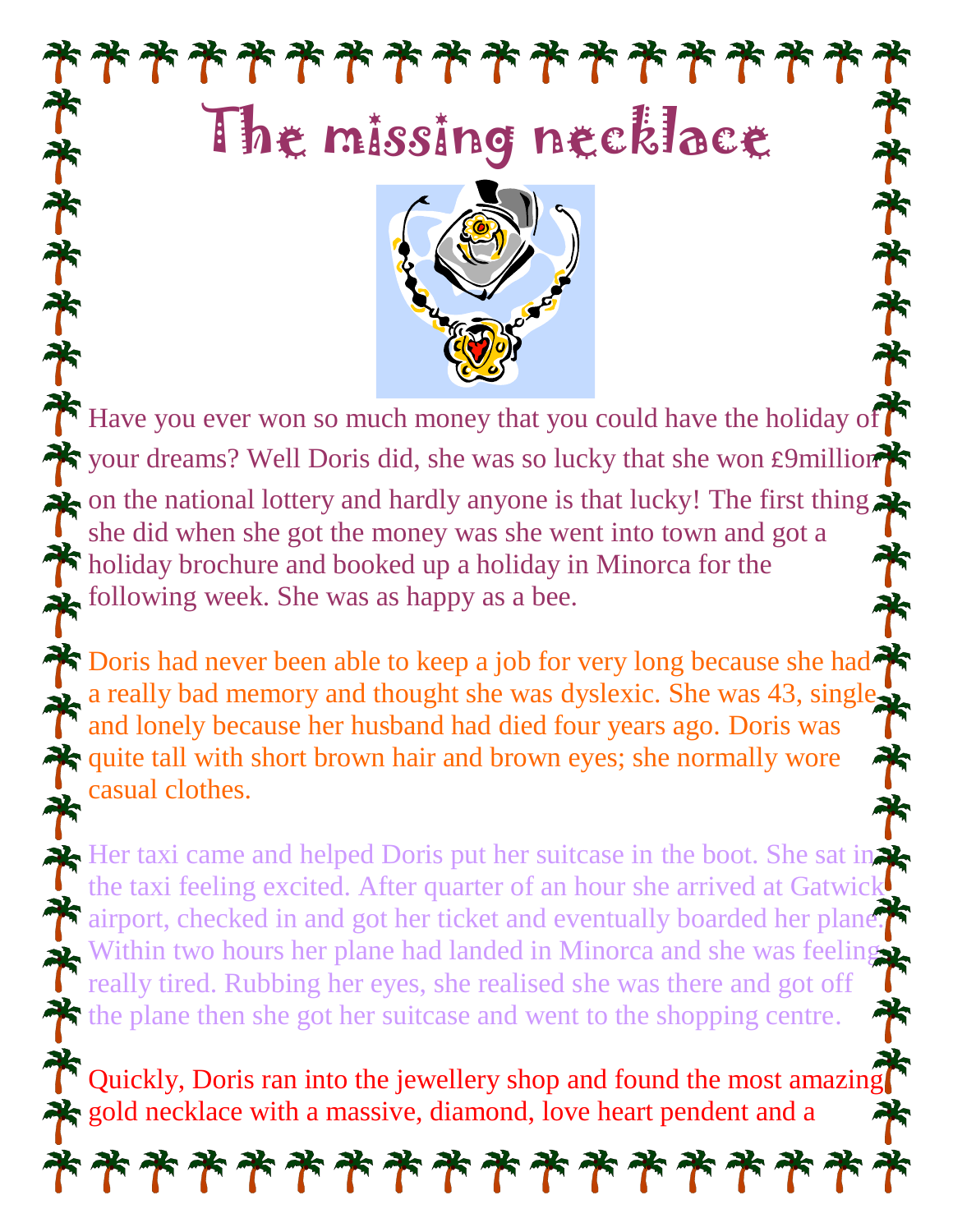



Have you ever won so much money that you could have the holiday of your dreams? Well Doris did, she was so lucky that she won £9million on the national lottery and hardly anyone is that lucky! The first thing she did when she got the money was she went into town and got a holiday brochure and booked up a holiday in Minorca for the following week. She was as happy as a bee.

Doris had never been able to keep a job for very long because she had a really bad memory and thought she was dyslexic. She was 43, single and lonely because her husband had died four years ago. Doris was quite tall with short brown hair and brown eyes; she normally wore casual clothes.

Her taxi came and helped Doris put her suitcase in the boot. She sat in the taxi feeling excited. After quarter of an hour she arrived at Gatwick airport, checked in and got her ticket and eventually boarded her plane. Within two hours her plane had landed in Minorca and she was feeling really tired. Rubbing her eyes, she realised she was there and got off the plane then she got her suitcase and went to the shopping centre.

Quickly, Doris ran into the jewellery shop and found the most amazing gold necklace with a massive, diamond, love heart pendent and a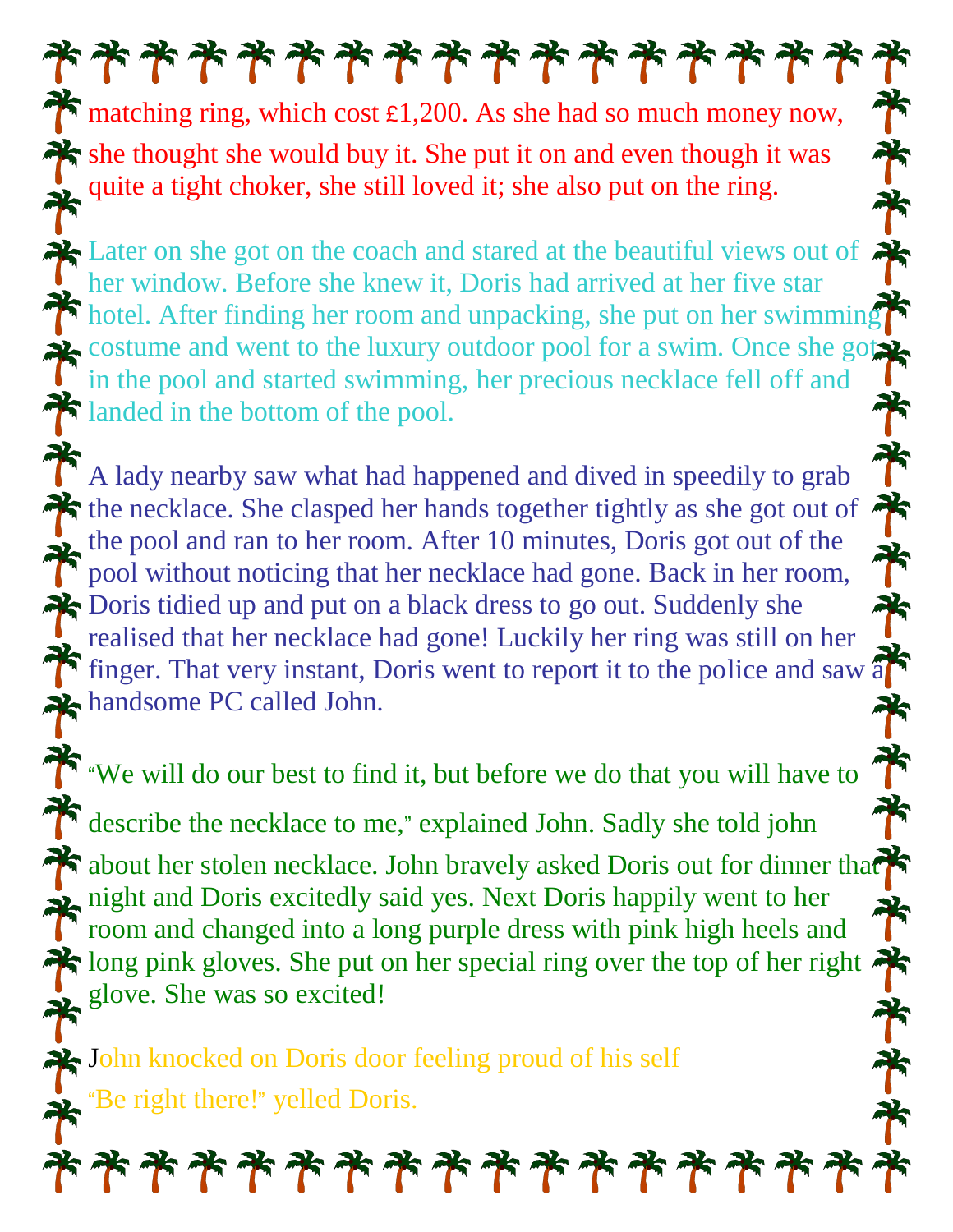## \*\*\*\*\*\*\*\*\*\*\*\*\*\*\*\*

matching ring, which cost  $\epsilon$ 1,200. As she had so much money now, she thought she would buy it. She put it on and even though it was quite a tight choker, she still loved it; she also put on the ring.

Later on she got on the coach and stared at the beautiful views out of her window. Before she knew it, Doris had arrived at her five star hotel. After finding her room and unpacking, she put on her swimming costume and went to the luxury outdoor pool for a swim. Once she got in the pool and started swimming, her precious necklace fell off and landed in the bottom of the pool.

A lady nearby saw what had happened and dived in speedily to grab the necklace. She clasped her hands together tightly as she got out of the pool and ran to her room. After 10 minutes, Doris got out of the pool without noticing that her necklace had gone. Back in her room, Doris tidied up and put on a black dress to go out. Suddenly she realised that her necklace had gone! Luckily her ring was still on her finger. That very instant, Doris went to report it to the police and saw a handsome PC called John.

We will do our best to find it, but before we do that you will have to

describe the necklace to me," explained John. Sadly she told john about her stolen necklace. John bravely asked Doris out for dinner that night and Doris excitedly said yes. Next Doris happily went to her room and changed into a long purple dress with pink high heels and long pink gloves. She put on her special ring over the top of her right glove. She was so excited!

John knocked on Doris door feeling proud of his self "Be right there!" yelled Doris.

\*\*\*\*\*\*\*\*\*\*\*\*